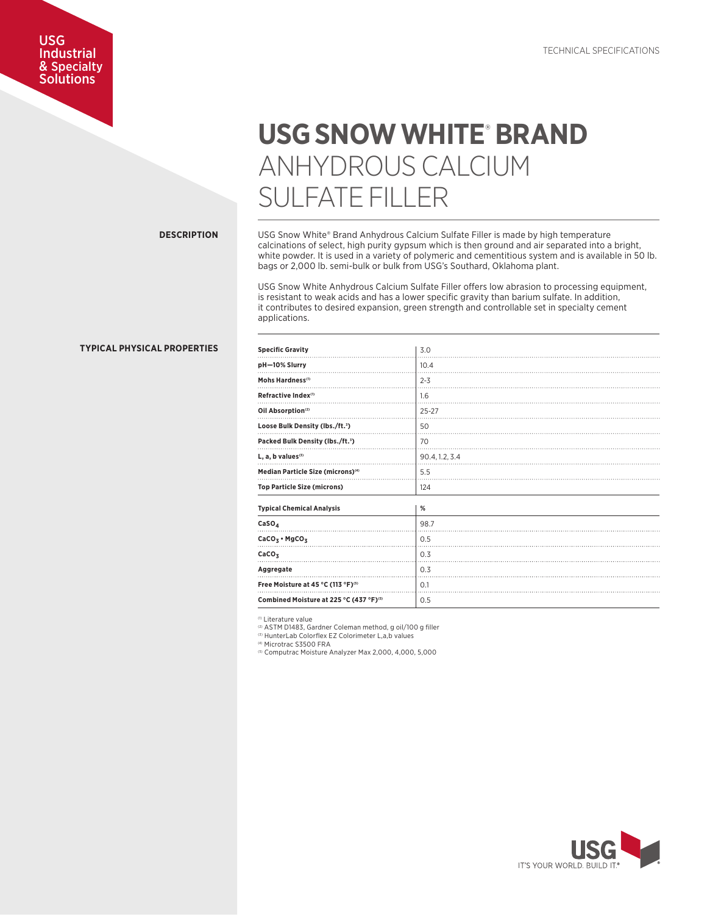## USG Industrial & Specialty **Solutions**

# USG SNOW WHITE® BRAND ANHYDROUS CALCIUM SULFATE FILLER

## **DESCRIPTION**

USG Snow White® Brand Anhydrous Calcium Sulfate Filler is made by high temperature calcinations of select, high purity gypsum which is then ground and air separated into a bright, white powder. It is used in a variety of polymeric and cementitious system and is available in 50 lb. bags or 2,000 lb. semi-bulk or bulk from USG's Southard, Oklahoma plant.

USG Snow White Anhydrous Calcium Sulfate Filler offers low abrasion to processing equipment, is resistant to weak acids and has a lower specific gravity than barium sulfate. In addition, it contributes to desired expansion, green strength and controllable set in specialty cement applications.

| pH-10% Slurry                                 | 10.4           |
|-----------------------------------------------|----------------|
| Mohs Hardness <sup>(1)</sup>                  | $2 - 3$        |
| Refractive Index <sup>(1)</sup>               | 1.6            |
| Oil Absorption <sup>(2)</sup>                 | $25 - 27$      |
| Loose Bulk Density (lbs./ft. <sup>3</sup> )   | 50             |
| Packed Bulk Density (lbs./ft. <sup>3</sup> )  | 70             |
| $L$ , a, b values $(3)$                       | 90.4, 1.2, 3.4 |
| Median Particle Size (microns) <sup>(4)</sup> | 5.5            |
| <b>Top Particle Size (microns)</b>            | 124            |
| <b>Typical Chemical Analysis</b>              | %              |
| CaSO <sub>A</sub>                             | 98.7           |
| $CaCO3$ • MgCO <sub>3</sub>                   | 0.5            |
| CaCO <sub>z</sub>                             | 0.3            |

**Combined Moisture at 225 °C (437 °F)**<sup>(5)</sup> 0.5

(1) Literature value

(2) ASTM D1483, Gardner Coleman method, g oil/100 g filler

**Aggregate** 0.3 **Free Moisture at 45 °C (113 °F)<sup>(5)</sup> 2014 10.1** 

**Specific Gravity** 2.0

(3) HunterLab Colorflex EZ Colorimeter L,a,b values

(4) Microtrac S3500 FRA

(5) Computrac Moisture Analyzer Max 2,000, 4,000, 5,000



## **TYPICAL PHYSICAL PROPERTIES**